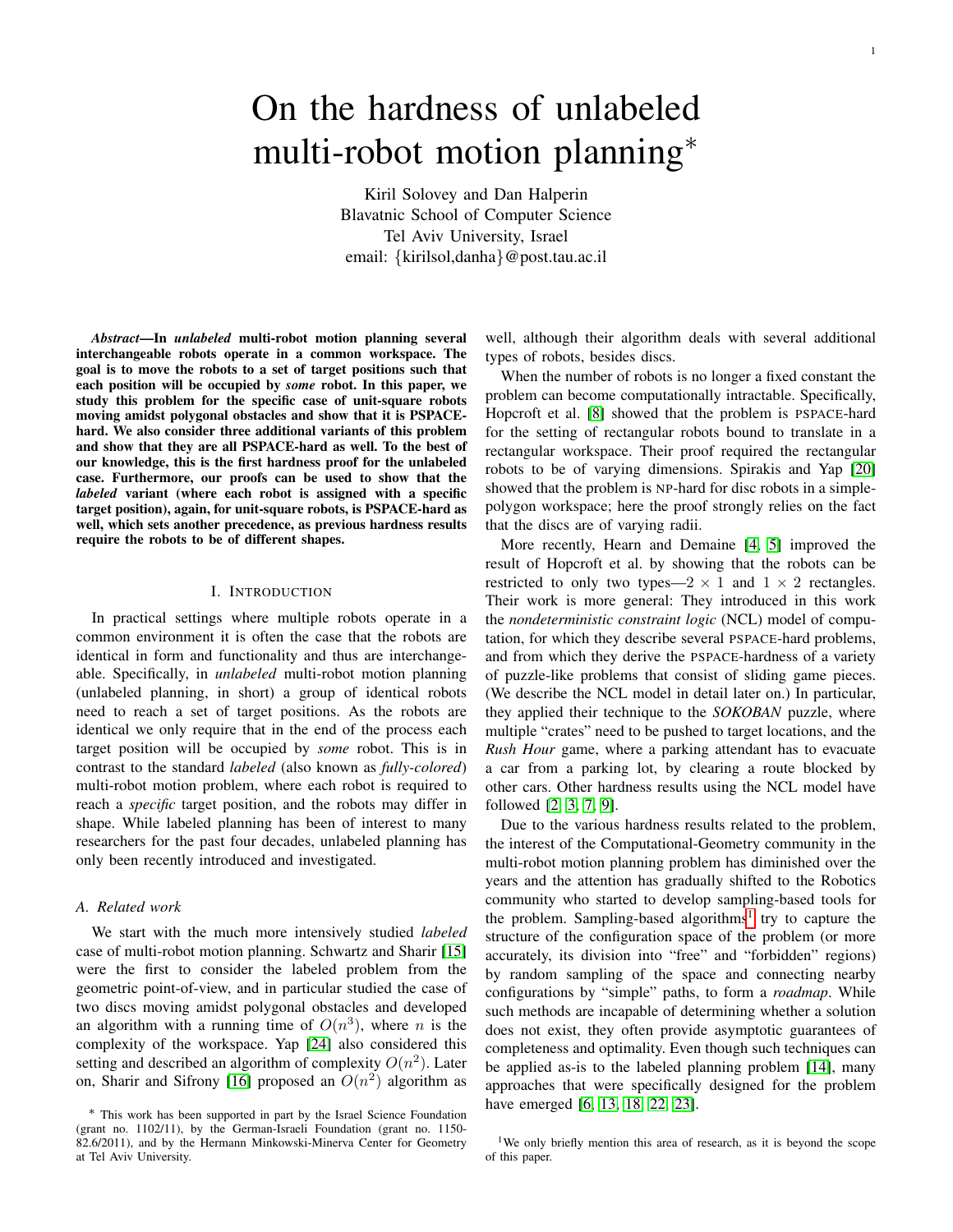# On the hardness of unlabeled multi-robot motion planning∗

Kiril Solovey and Dan Halperin Blavatnic School of Computer Science Tel Aviv University, Israel email: {kirilsol,danha}@post.tau.ac.il

*Abstract*—In *unlabeled* multi-robot motion planning several interchangeable robots operate in a common workspace. The goal is to move the robots to a set of target positions such that each position will be occupied by *some* robot. In this paper, we study this problem for the specific case of unit-square robots moving amidst polygonal obstacles and show that it is PSPACEhard. We also consider three additional variants of this problem and show that they are all PSPACE-hard as well. To the best of our knowledge, this is the first hardness proof for the unlabeled case. Furthermore, our proofs can be used to show that the *labeled* variant (where each robot is assigned with a specific target position), again, for unit-square robots, is PSPACE-hard as well, which sets another precedence, as previous hardness results require the robots to be of different shapes.

## I. INTRODUCTION

In practical settings where multiple robots operate in a common environment it is often the case that the robots are identical in form and functionality and thus are interchangeable. Specifically, in *unlabeled* multi-robot motion planning (unlabeled planning, in short) a group of identical robots need to reach a set of target positions. As the robots are identical we only require that in the end of the process each target position will be occupied by *some* robot. This is in contrast to the standard *labeled* (also known as *fully-colored*) multi-robot motion problem, where each robot is required to reach a *specific* target position, and the robots may differ in shape. While labeled planning has been of interest to many researchers for the past four decades, unlabeled planning has only been recently introduced and investigated.

# *A. Related work*

We start with the much more intensively studied *labeled* case of multi-robot motion planning. Schwartz and Sharir [\[15\]](#page-8-0) were the first to consider the labeled problem from the geometric point-of-view, and in particular studied the case of two discs moving amidst polygonal obstacles and developed an algorithm with a running time of  $O(n^3)$ , where n is the complexity of the workspace. Yap [\[24\]](#page-8-1) also considered this setting and described an algorithm of complexity  $O(n^2)$ . Later on, Sharir and Sifrony [\[16\]](#page-8-2) proposed an  $O(n^2)$  algorithm as well, although their algorithm deals with several additional types of robots, besides discs.

When the number of robots is no longer a fixed constant the problem can become computationally intractable. Specifically, Hopcroft et al. [\[8\]](#page-7-0) showed that the problem is PSPACE-hard for the setting of rectangular robots bound to translate in a rectangular workspace. Their proof required the rectangular robots to be of varying dimensions. Spirakis and Yap [\[20\]](#page-8-3) showed that the problem is NP-hard for disc robots in a simplepolygon workspace; here the proof strongly relies on the fact that the discs are of varying radii.

More recently, Hearn and Demaine [\[4,](#page-7-1) [5\]](#page-7-2) improved the result of Hopcroft et al. by showing that the robots can be restricted to only two types—2  $\times$  1 and 1  $\times$  2 rectangles. Their work is more general: They introduced in this work the *nondeterministic constraint logic* (NCL) model of computation, for which they describe several PSPACE-hard problems, and from which they derive the PSPACE-hardness of a variety of puzzle-like problems that consist of sliding game pieces. (We describe the NCL model in detail later on.) In particular, they applied their technique to the *SOKOBAN* puzzle, where multiple "crates" need to be pushed to target locations, and the *Rush Hour* game, where a parking attendant has to evacuate a car from a parking lot, by clearing a route blocked by other cars. Other hardness results using the NCL model have followed [\[2,](#page-7-3) [3,](#page-7-4) [7,](#page-7-5) [9\]](#page-7-6).

Due to the various hardness results related to the problem, the interest of the Computational-Geometry community in the multi-robot motion planning problem has diminished over the years and the attention has gradually shifted to the Robotics community who started to develop sampling-based tools for the problem. Sampling-based algorithms<sup>[1](#page-0-0)</sup> try to capture the structure of the configuration space of the problem (or more accurately, its division into "free" and "forbidden" regions) by random sampling of the space and connecting nearby configurations by "simple" paths, to form a *roadmap*. While such methods are incapable of determining whether a solution does not exist, they often provide asymptotic guarantees of completeness and optimality. Even though such techniques can be applied as-is to the labeled planning problem [\[14\]](#page-8-4), many approaches that were specifically designed for the problem have emerged [\[6,](#page-7-7) [13,](#page-8-5) [18,](#page-8-6) [22,](#page-8-7) [23\]](#page-8-8).

<sup>∗</sup> This work has been supported in part by the Israel Science Foundation (grant no. 1102/11), by the German-Israeli Foundation (grant no. 1150- 82.6/2011), and by the Hermann Minkowski-Minerva Center for Geometry at Tel Aviv University.

<span id="page-0-0"></span><sup>&</sup>lt;sup>1</sup>We only briefly mention this area of research, as it is beyond the scope of this paper.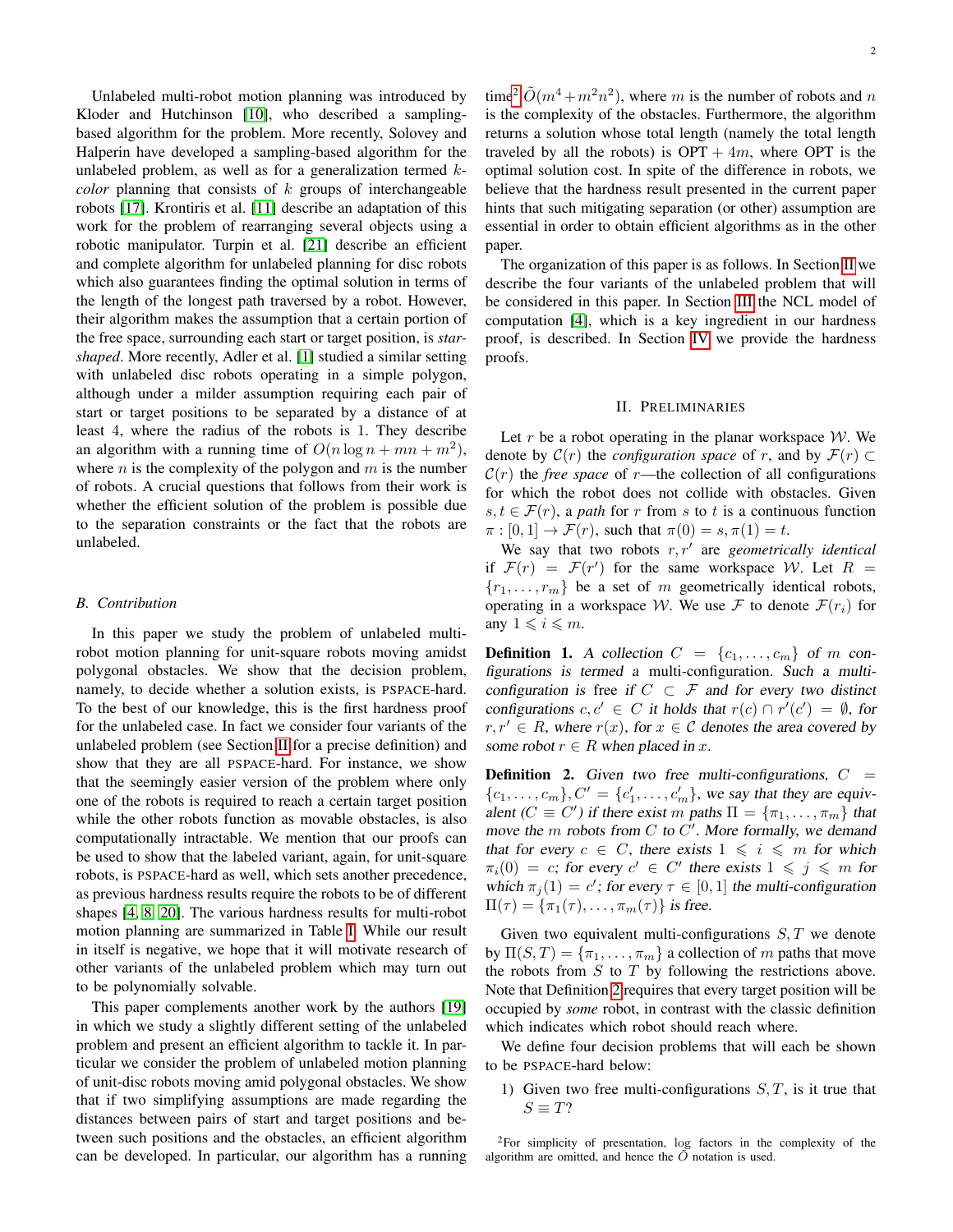Unlabeled multi-robot motion planning was introduced by Kloder and Hutchinson [\[10\]](#page-7-8), who described a samplingbased algorithm for the problem. More recently, Solovey and Halperin have developed a sampling-based algorithm for the unlabeled problem, as well as for a generalization termed  $k$ *color* planning that consists of  $k$  groups of interchangeable robots [\[17\]](#page-8-9). Krontiris et al. [\[11\]](#page-8-10) describe an adaptation of this work for the problem of rearranging several objects using a robotic manipulator. Turpin et al. [\[21\]](#page-8-11) describe an efficient and complete algorithm for unlabeled planning for disc robots which also guarantees finding the optimal solution in terms of the length of the longest path traversed by a robot. However, their algorithm makes the assumption that a certain portion of the free space, surrounding each start or target position, is *starshaped*. More recently, Adler et al. [\[1\]](#page-7-9) studied a similar setting with unlabeled disc robots operating in a simple polygon, although under a milder assumption requiring each pair of start or target positions to be separated by a distance of at least 4, where the radius of the robots is 1. They describe an algorithm with a running time of  $O(n \log n + mn + m^2)$ , where *n* is the complexity of the polygon and  $m$  is the number of robots. A crucial questions that follows from their work is whether the efficient solution of the problem is possible due to the separation constraints or the fact that the robots are unlabeled.

#### *B. Contribution*

In this paper we study the problem of unlabeled multirobot motion planning for unit-square robots moving amidst polygonal obstacles. We show that the decision problem, namely, to decide whether a solution exists, is PSPACE-hard. To the best of our knowledge, this is the first hardness proof for the unlabeled case. In fact we consider four variants of the unlabeled problem (see Section [II](#page-1-0) for a precise definition) and show that they are all PSPACE-hard. For instance, we show that the seemingly easier version of the problem where only one of the robots is required to reach a certain target position while the other robots function as movable obstacles, is also computationally intractable. We mention that our proofs can be used to show that the labeled variant, again, for unit-square robots, is PSPACE-hard as well, which sets another precedence, as previous hardness results require the robots to be of different shapes [\[4,](#page-7-1) [8,](#page-7-0) [20\]](#page-8-3). The various hardness results for multi-robot motion planning are summarized in Table [I.](#page-2-0) While our result in itself is negative, we hope that it will motivate research of other variants of the unlabeled problem which may turn out to be polynomially solvable.

This paper complements another work by the authors [\[19\]](#page-8-12) in which we study a slightly different setting of the unlabeled problem and present an efficient algorithm to tackle it. In particular we consider the problem of unlabeled motion planning of unit-disc robots moving amid polygonal obstacles. We show that if two simplifying assumptions are made regarding the distances between pairs of start and target positions and between such positions and the obstacles, an efficient algorithm can be developed. In particular, our algorithm has a running

time<sup>[2](#page-1-1)</sup>  $\tilde{O}(m^4 + m^2n^2)$ , where m is the number of robots and n is the complexity of the obstacles. Furthermore, the algorithm returns a solution whose total length (namely the total length traveled by all the robots) is  $OPT + 4m$ , where OPT is the optimal solution cost. In spite of the difference in robots, we believe that the hardness result presented in the current paper hints that such mitigating separation (or other) assumption are essential in order to obtain efficient algorithms as in the other paper.

The organization of this paper is as follows. In Section [II](#page-1-0) we describe the four variants of the unlabeled problem that will be considered in this paper. In Section [III](#page-2-1) the NCL model of computation [\[4\]](#page-7-1), which is a key ingredient in our hardness proof, is described. In Section [IV](#page-3-0) we provide the hardness proofs.

#### II. PRELIMINARIES

<span id="page-1-0"></span>Let  $r$  be a robot operating in the planar workspace  $W$ . We denote by  $\mathcal{C}(r)$  the *configuration space* of r, and by  $\mathcal{F}(r) \subset$  $\mathcal{C}(r)$  the *free space* of r—the collection of all configurations for which the robot does not collide with obstacles. Given  $s, t \in \mathcal{F}(r)$ , a *path* for r from s to t is a continuous function  $\pi : [0,1] \rightarrow \mathcal{F}(r)$ , such that  $\pi(0) = s, \pi(1) = t$ .

We say that two robots  $r, r'$  are *geometrically identical* if  $\mathcal{F}(r) = \mathcal{F}(r')$  for the same workspace W. Let  $R =$  ${r_1, \ldots, r_m}$  be a set of m geometrically identical robots, operating in a workspace W. We use F to denote  $\mathcal{F}(r_i)$  for any  $1 \leq i \leq m$ .

**Definition 1.** A collection  $C = \{c_1, \ldots, c_m\}$  of m configurations is termed a multi-configuration. Such a multiconfiguration is free if  $C \subset \mathcal{F}$  and for every two distinct configurations  $c, c' \in C$  it holds that  $r(c) \cap r'(c') = \emptyset$ , for  $r, r' \in R$ , where  $r(x)$ , for  $x \in C$  denotes the area covered by some robot  $r \in R$  when placed in x.

<span id="page-1-2"></span>**Definition 2.** Given two free multi-configurations,  $C =$  $\{c_1, \ldots, c_m\}, C' = \{c'_1, \ldots, c'_m\}$ , we say that they are equivalent ( $C \equiv C'$ ) if there exist m paths  $\Pi = {\pi_1, ..., \pi_m}$  that move the  $m$  robots from  $C$  to  $C'$ . More formally, we demand that for every  $c \in C$ , there exists  $1 \leq i \leq m$  for which  $\pi_i(0) = c$ ; for every  $c' \in C'$  there exists  $1 \leqslant j \leqslant m$  for which  $\pi_j(1) = c'$ ; for every  $\tau \in [0, 1]$  the multi-configuration  $\Pi(\tau) = {\pi_1(\tau), \ldots, \pi_m(\tau)}$  is free.

Given two equivalent multi-configurations  $S, T$  we denote by  $\Pi(S, T) = {\pi_1, \dots, \pi_m}$  a collection of m paths that move the robots from  $S$  to  $T$  by following the restrictions above. Note that Definition [2](#page-1-2) requires that every target position will be occupied by *some* robot, in contrast with the classic definition which indicates which robot should reach where.

We define four decision problems that will each be shown to be PSPACE-hard below:

1) Given two free multi-configurations  $S, T$ , is it true that  $S \equiv T?$ 

<span id="page-1-1"></span><sup>2</sup>For simplicity of presentation, log factors in the complexity of the algorithm are omitted, and hence the  $\ddot{O}$  notation is used.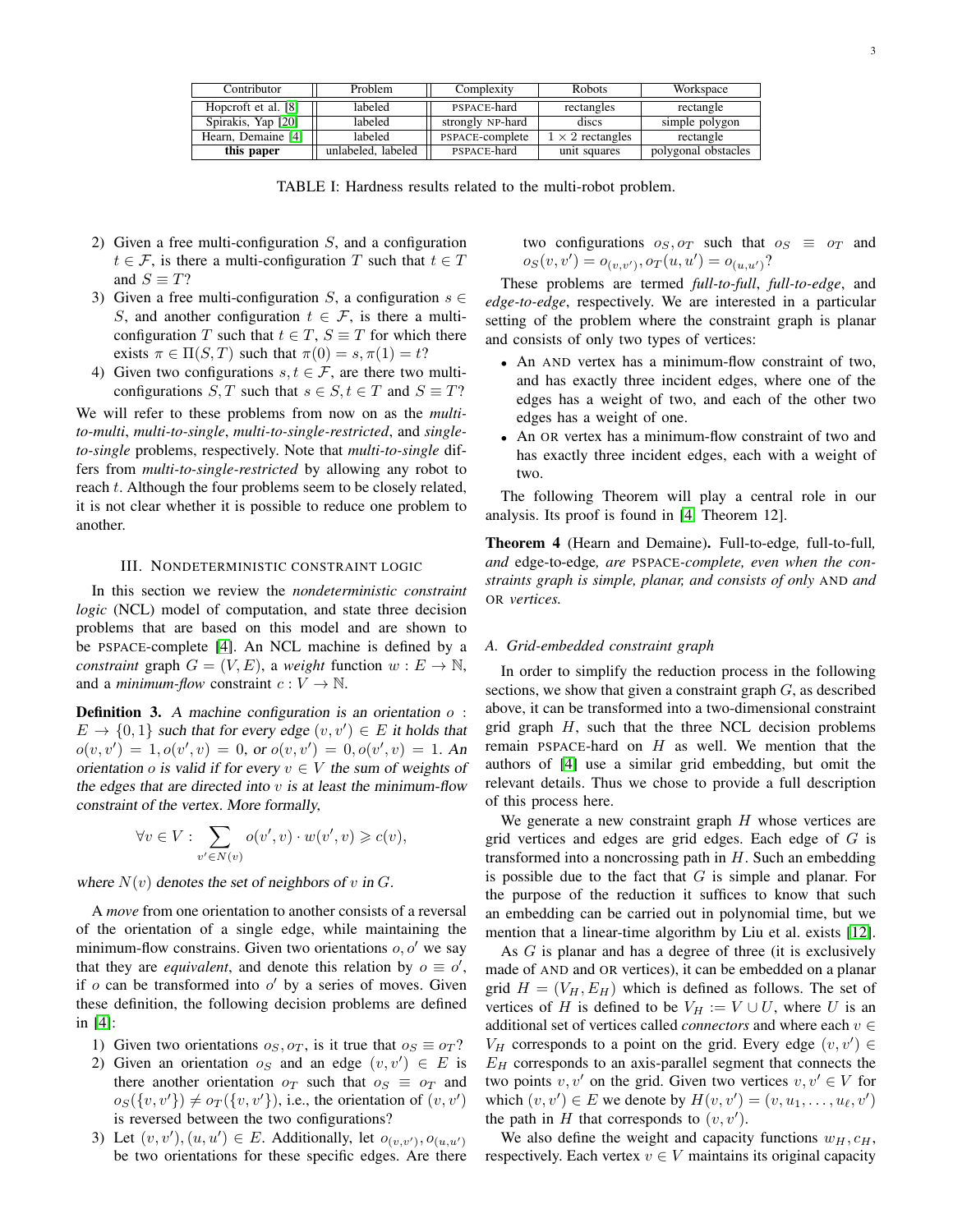<span id="page-2-0"></span>

| Contributor         | Problem            | Complexity       | Robots                  | Workspace           |
|---------------------|--------------------|------------------|-------------------------|---------------------|
| Hopcroft et al. [8] | labeled            | PSPACE-hard      | rectangles              | rectangle           |
| Spirakis, Yap [20]  | labeled            | strongly NP-hard | discs                   | simple polygon      |
| Hearn, Demaine [4]  | labeled            | PSPACE-complete  | $1 \times 2$ rectangles | rectangle           |
| this paper          | unlabeled, labeled | PSPACE-hard      | unit squares            | polygonal obstacles |

TABLE I: Hardness results related to the multi-robot problem.

- 2) Given a free multi-configuration  $S$ , and a configuration  $t \in \mathcal{F}$ , is there a multi-configuration T such that  $t \in T$ and  $S \equiv T$ ?
- 3) Given a free multi-configuration S, a configuration  $s \in$ S, and another configuration  $t \in \mathcal{F}$ , is there a multiconfiguration T such that  $t \in T$ ,  $S \equiv T$  for which there exists  $\pi \in \Pi(S, T)$  such that  $\pi(0) = s, \pi(1) = t$ ?
- 4) Given two configurations  $s, t \in \mathcal{F}$ , are there two multiconfigurations S, T such that  $s \in S$ ,  $t \in T$  and  $S \equiv T$ ?

We will refer to these problems from now on as the *multito-multi*, *multi-to-single*, *multi-to-single-restricted*, and *singleto-single* problems, respectively. Note that *multi-to-single* differs from *multi-to-single-restricted* by allowing any robot to reach t. Although the four problems seem to be closely related, it is not clear whether it is possible to reduce one problem to another.

#### III. NONDETERMINISTIC CONSTRAINT LOGIC

<span id="page-2-1"></span>In this section we review the *nondeterministic constraint logic* (NCL) model of computation, and state three decision problems that are based on this model and are shown to be PSPACE-complete [\[4\]](#page-7-1). An NCL machine is defined by a *constraint* graph  $G = (V, E)$ , a *weight* function  $w : E \to \mathbb{N}$ , and a *minimum-flow* constraint  $c: V \to \mathbb{N}$ .

**Definition 3.** A machine configuration is an orientation  $o$ :  $E \to \{0,1\}$  such that for every edge  $(v, v') \in E$  it holds that  $o(v, v') = 1, o(v', v) = 0$ , or  $o(v, v') = 0, o(v', v) = 1$ . An orientation o is valid if for every  $v \in V$  the sum of weights of the edges that are directed into  $v$  is at least the minimum-flow constraint of the vertex. More formally,

$$
\forall v \in V: \sum_{v' \in N(v)} o(v', v) \cdot w(v', v) \geqslant c(v),
$$

where  $N(v)$  denotes the set of neighbors of v in G.

A *move* from one orientation to another consists of a reversal of the orientation of a single edge, while maintaining the minimum-flow constrains. Given two orientations  $o, o'$  we say that they are *equivalent*, and denote this relation by  $o \equiv o'$ , if  $o$  can be transformed into  $o'$  by a series of moves. Given these definition, the following decision problems are defined in [\[4\]](#page-7-1):

- 1) Given two orientations  $o_S, o_T$ , is it true that  $o_S \equiv o_T$ ?
- 2) Given an orientation  $o_S$  and an edge  $(v, v') \in E$  is there another orientation  $o_T$  such that  $o_S \equiv o_T$  and  $o_S({v, v'}) \neq o_T({v, v'}),$  i.e., the orientation of  $(v, v')$ is reversed between the two configurations?
- 3) Let  $(v, v'), (u, u') \in E$ . Additionally, let  $o_{(v, v')}, o_{(u, u')}$ be two orientations for these specific edges. Are there

two configurations  $o_S, o_T$  such that  $o_S \equiv o_T$  and  $o_S(v, v') = o_{(v, v')}, o_T(u, u') = o_{(u, u')}$ ?

These problems are termed *full-to-full*, *full-to-edge*, and *edge-to-edge*, respectively. We are interested in a particular setting of the problem where the constraint graph is planar and consists of only two types of vertices:

- An AND vertex has a minimum-flow constraint of two, and has exactly three incident edges, where one of the edges has a weight of two, and each of the other two edges has a weight of one.
- An OR vertex has a minimum-flow constraint of two and has exactly three incident edges, each with a weight of two.

The following Theorem will play a central role in our analysis. Its proof is found in [\[4,](#page-7-1) Theorem 12].

<span id="page-2-2"></span>Theorem 4 (Hearn and Demaine). Full-to-edge*,* full-to-full*, and* edge-to-edge*, are* PSPACE*-complete, even when the constraints graph is simple, planar, and consists of only* AND *and* OR *vertices.*

#### *A. Grid-embedded constraint graph*

In order to simplify the reduction process in the following sections, we show that given a constraint graph  $G$ , as described above, it can be transformed into a two-dimensional constraint grid graph  $H$ , such that the three NCL decision problems remain PSPACE-hard on  $H$  as well. We mention that the authors of [\[4\]](#page-7-1) use a similar grid embedding, but omit the relevant details. Thus we chose to provide a full description of this process here.

We generate a new constraint graph  $H$  whose vertices are grid vertices and edges are grid edges. Each edge of  $G$  is transformed into a noncrossing path in  $H$ . Such an embedding is possible due to the fact that  $G$  is simple and planar. For the purpose of the reduction it suffices to know that such an embedding can be carried out in polynomial time, but we mention that a linear-time algorithm by Liu et al. exists [\[12\]](#page-8-13).

As G is planar and has a degree of three (it is exclusively made of AND and OR vertices), it can be embedded on a planar grid  $H = (V_H, E_H)$  which is defined as follows. The set of vertices of H is defined to be  $V_H := V \cup U$ , where U is an additional set of vertices called *connectors* and where each  $v \in$  $V_H$  corresponds to a point on the grid. Every edge  $(v, v') \in$  $E_H$  corresponds to an axis-parallel segment that connects the two points v, v' on the grid. Given two vertices  $v, v' \in V$  for which  $(v, v') \in E$  we denote by  $H(v, v') = (v, u_1, \dots, u_\ell, v')$ the path in  $H$  that corresponds to  $(v, v')$ .

We also define the weight and capacity functions  $w_H, c_H$ , respectively. Each vertex  $v \in V$  maintains its original capacity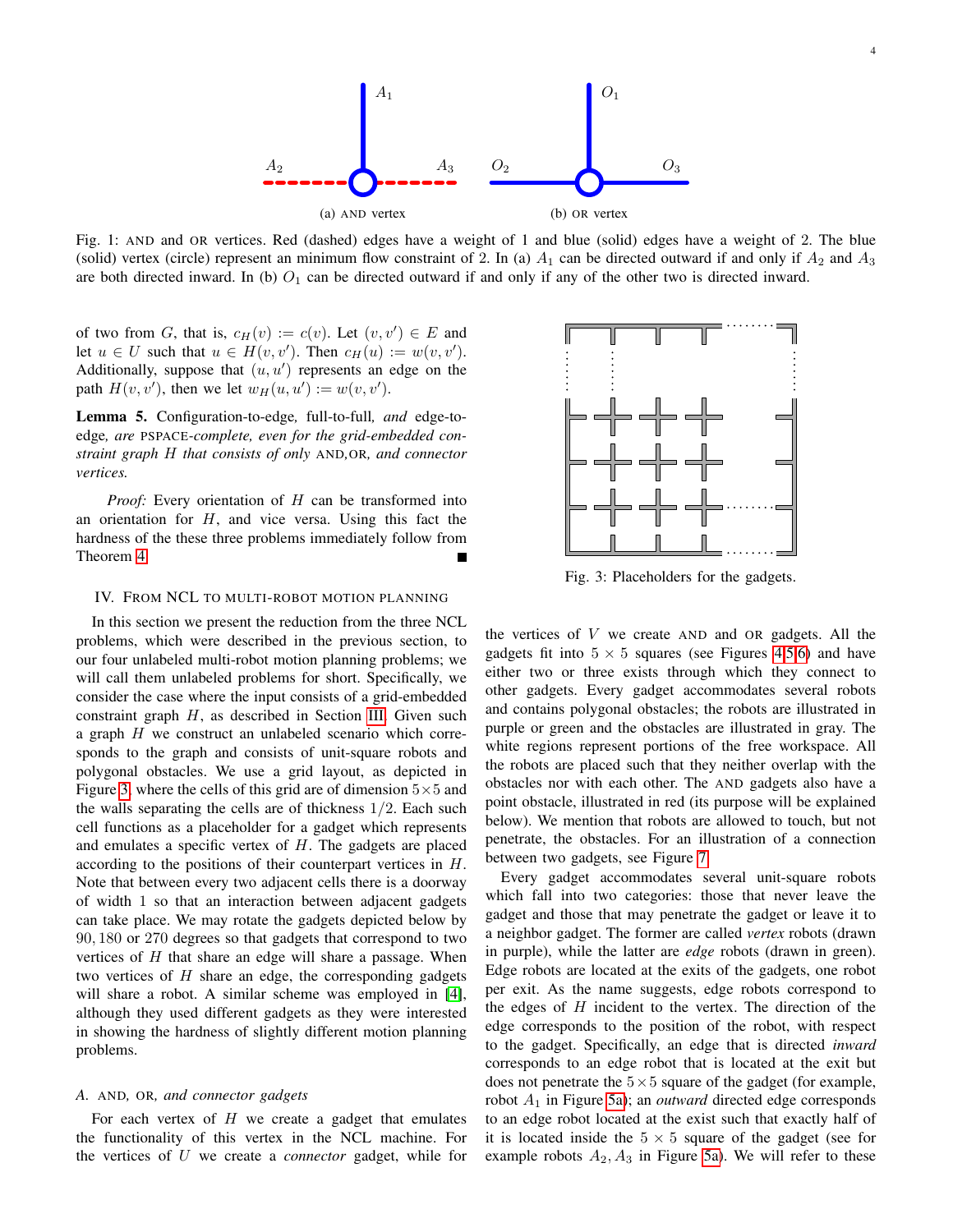

Fig. 1: AND and OR vertices. Red (dashed) edges have a weight of 1 and blue (solid) edges have a weight of 2. The blue (solid) vertex (circle) represent an minimum flow constraint of 2. In (a)  $A_1$  can be directed outward if and only if  $A_2$  and  $A_3$ are both directed inward. In (b)  $O_1$  can be directed outward if and only if any of the other two is directed inward.

of two from G, that is,  $c_H(v) := c(v)$ . Let  $(v, v') \in E$  and let  $u \in U$  such that  $u \in H(v, v')$ . Then  $c_H(u) := w(v, v')$ . Additionally, suppose that  $(u, u')$  represents an edge on the path  $H(v, v')$ , then we let  $w_H(u, u') := w(v, v')$ .

Lemma 5. Configuration-to-edge*,* full-to-full*, and* edge-toedge*, are* PSPACE*-complete, even for the grid-embedded constraint graph* H *that consists of only* AND*,*OR*, and connector vertices.*

*Proof:* Every orientation of H can be transformed into an orientation for  $H$ , and vice versa. Using this fact the hardness of the these three problems immediately follow from Theorem [4.](#page-2-2)

#### <span id="page-3-0"></span>IV. FROM NCL TO MULTI-ROBOT MOTION PLANNING

In this section we present the reduction from the three NCL problems, which were described in the previous section, to our four unlabeled multi-robot motion planning problems; we will call them unlabeled problems for short. Specifically, we consider the case where the input consists of a grid-embedded constraint graph  $H$ , as described in Section [III.](#page-2-1) Given such a graph H we construct an unlabeled scenario which corresponds to the graph and consists of unit-square robots and polygonal obstacles. We use a grid layout, as depicted in Figure [3,](#page-3-1) where the cells of this grid are of dimension  $5 \times 5$  and the walls separating the cells are of thickness  $1/2$ . Each such cell functions as a placeholder for a gadget which represents and emulates a specific vertex of  $H$ . The gadgets are placed according to the positions of their counterpart vertices in H. Note that between every two adjacent cells there is a doorway of width 1 so that an interaction between adjacent gadgets can take place. We may rotate the gadgets depicted below by 90, 180 or 270 degrees so that gadgets that correspond to two vertices of  $H$  that share an edge will share a passage. When two vertices of  $H$  share an edge, the corresponding gadgets will share a robot. A similar scheme was employed in [\[4\]](#page-7-1), although they used different gadgets as they were interested in showing the hardness of slightly different motion planning problems.

#### <span id="page-3-2"></span>*A.* AND*,* OR*, and connector gadgets*

For each vertex of  $H$  we create a gadget that emulates the functionality of this vertex in the NCL machine. For the vertices of U we create a *connector* gadget, while for

<span id="page-3-1"></span>

Fig. 3: Placeholders for the gadgets.

the vertices of  $V$  we create AND and OR gadgets. All the gadgets fit into  $5 \times 5$  squares (see Figures [4](#page-5-0)[,5,](#page-5-1)[6\)](#page-5-2) and have either two or three exists through which they connect to other gadgets. Every gadget accommodates several robots and contains polygonal obstacles; the robots are illustrated in purple or green and the obstacles are illustrated in gray. The white regions represent portions of the free workspace. All the robots are placed such that they neither overlap with the obstacles nor with each other. The AND gadgets also have a point obstacle, illustrated in red (its purpose will be explained below). We mention that robots are allowed to touch, but not penetrate, the obstacles. For an illustration of a connection between two gadgets, see Figure [7.](#page-6-0)

Every gadget accommodates several unit-square robots which fall into two categories: those that never leave the gadget and those that may penetrate the gadget or leave it to a neighbor gadget. The former are called *vertex* robots (drawn in purple), while the latter are *edge* robots (drawn in green). Edge robots are located at the exits of the gadgets, one robot per exit. As the name suggests, edge robots correspond to the edges of  $H$  incident to the vertex. The direction of the edge corresponds to the position of the robot, with respect to the gadget. Specifically, an edge that is directed *inward* corresponds to an edge robot that is located at the exit but does not penetrate the  $5 \times 5$  square of the gadget (for example, robot A<sup>1</sup> in Figure [5a\)](#page-5-1); an *outward* directed edge corresponds to an edge robot located at the exist such that exactly half of it is located inside the  $5 \times 5$  square of the gadget (see for example robots  $A_2$ ,  $A_3$  in Figure [5a\)](#page-5-1). We will refer to these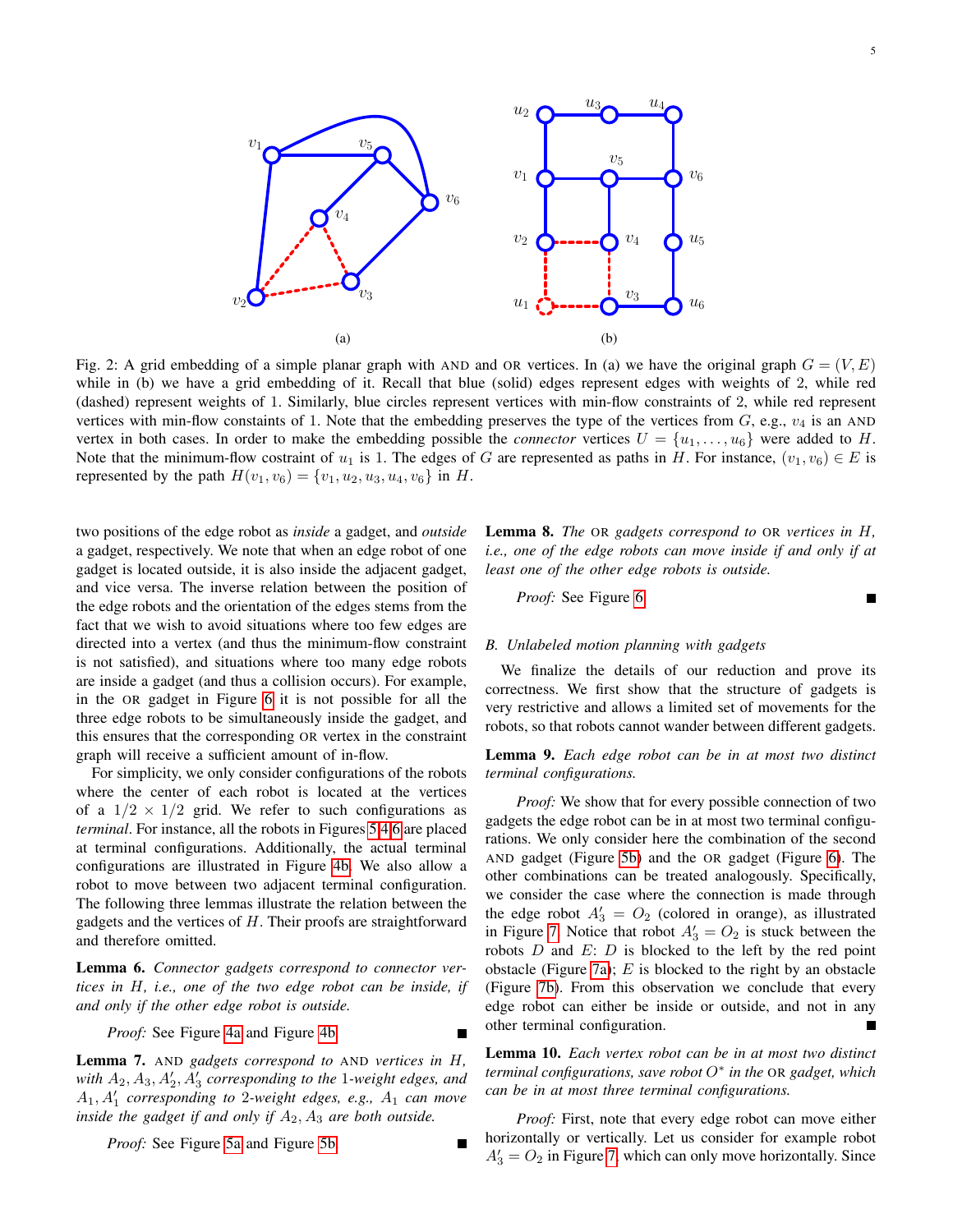

Fig. 2: A grid embedding of a simple planar graph with AND and OR vertices. In (a) we have the original graph  $G = (V, E)$ while in (b) we have a grid embedding of it. Recall that blue (solid) edges represent edges with weights of 2, while red (dashed) represent weights of 1. Similarly, blue circles represent vertices with min-flow constraints of 2, while red represent vertices with min-flow constaints of 1. Note that the embedding preserves the type of the vertices from  $G$ , e.g.,  $v_4$  is an AND vertex in both cases. In order to make the embedding possible the *connector* vertices  $U = \{u_1, \ldots, u_6\}$  were added to H. Note that the minimum-flow costraint of  $u_1$  is 1. The edges of G are represented as paths in H. For instance,  $(v_1, v_6) \in E$  is represented by the path  $H(v_1, v_6) = \{v_1, u_2, u_3, u_4, v_6\}$  in H.

two positions of the edge robot as *inside* a gadget, and *outside* a gadget, respectively. We note that when an edge robot of one gadget is located outside, it is also inside the adjacent gadget, and vice versa. The inverse relation between the position of the edge robots and the orientation of the edges stems from the fact that we wish to avoid situations where too few edges are directed into a vertex (and thus the minimum-flow constraint is not satisfied), and situations where too many edge robots are inside a gadget (and thus a collision occurs). For example, in the OR gadget in Figure [6](#page-5-2) it is not possible for all the three edge robots to be simultaneously inside the gadget, and this ensures that the corresponding OR vertex in the constraint graph will receive a sufficient amount of in-flow.

For simplicity, we only consider configurations of the robots where the center of each robot is located at the vertices of a  $1/2 \times 1/2$  grid. We refer to such configurations as *terminal*. For instance, all the robots in Figures [5](#page-5-1)[,4,](#page-5-0)[6](#page-5-2) are placed at terminal configurations. Additionally, the actual terminal configurations are illustrated in Figure [4b.](#page-5-0) We also allow a robot to move between two adjacent terminal configuration. The following three lemmas illustrate the relation between the gadgets and the vertices of  $H$ . Their proofs are straightforward and therefore omitted.

Lemma 6. *Connector gadgets correspond to connector vertices in* H*, i.e., one of the two edge robot can be inside, if and only if the other edge robot is outside.*

*Proof:* See Figure [4a](#page-5-0) and Figure [4b.](#page-5-0)

Lemma 7. AND *gadgets correspond to* AND *vertices in* H*,* with  $A_2$ ,  $A_3$ ,  $A'_2$ ,  $A'_3$  corresponding to the 1*-weight edges, and*  $A_1, A'_1$  *corresponding to* 2-weight edges, e.g.,  $A_1$  *can move inside the gadget if and only if*  $A_2$ ,  $A_3$  *are both outside.* 

*Proof:* See Figure [5a](#page-5-1) and Figure [5b.](#page-5-1)

Lemma 8. *The* OR *gadgets correspond to* OR *vertices in* H*, i.e., one of the edge robots can move inside if and only if at least one of the other edge robots is outside.*

*Proof:* See Figure [6.](#page-5-2)

### *B. Unlabeled motion planning with gadgets*

We finalize the details of our reduction and prove its correctness. We first show that the structure of gadgets is very restrictive and allows a limited set of movements for the robots, so that robots cannot wander between different gadgets.

<span id="page-4-0"></span>Lemma 9. *Each edge robot can be in at most two distinct terminal configurations.*

*Proof:* We show that for every possible connection of two gadgets the edge robot can be in at most two terminal configurations. We only consider here the combination of the second AND gadget (Figure [5b\)](#page-5-1) and the OR gadget (Figure [6\)](#page-5-2). The other combinations can be treated analogously. Specifically, we consider the case where the connection is made through the edge robot  $A'_3 = O_2$  (colored in orange), as illustrated in Figure [7.](#page-6-0) Notice that robot  $A'_3 = O_2$  is stuck between the robots  $D$  and  $E: D$  is blocked to the left by the red point obstacle (Figure [7a\)](#page-6-0);  $E$  is blocked to the right by an obstacle (Figure [7b\)](#page-6-0). From this observation we conclude that every edge robot can either be inside or outside, and not in any other terminal configuration.

Lemma 10. *Each vertex robot can be in at most two distinct terminal configurations, save robot* O<sup>∗</sup> *in the* OR *gadget, which can be in at most three terminal configurations.*

*Proof:* First, note that every edge robot can move either horizontally or vertically. Let us consider for example robot  $A'_3 = O_2$  in Figure [7,](#page-6-0) which can only move horizontally. Since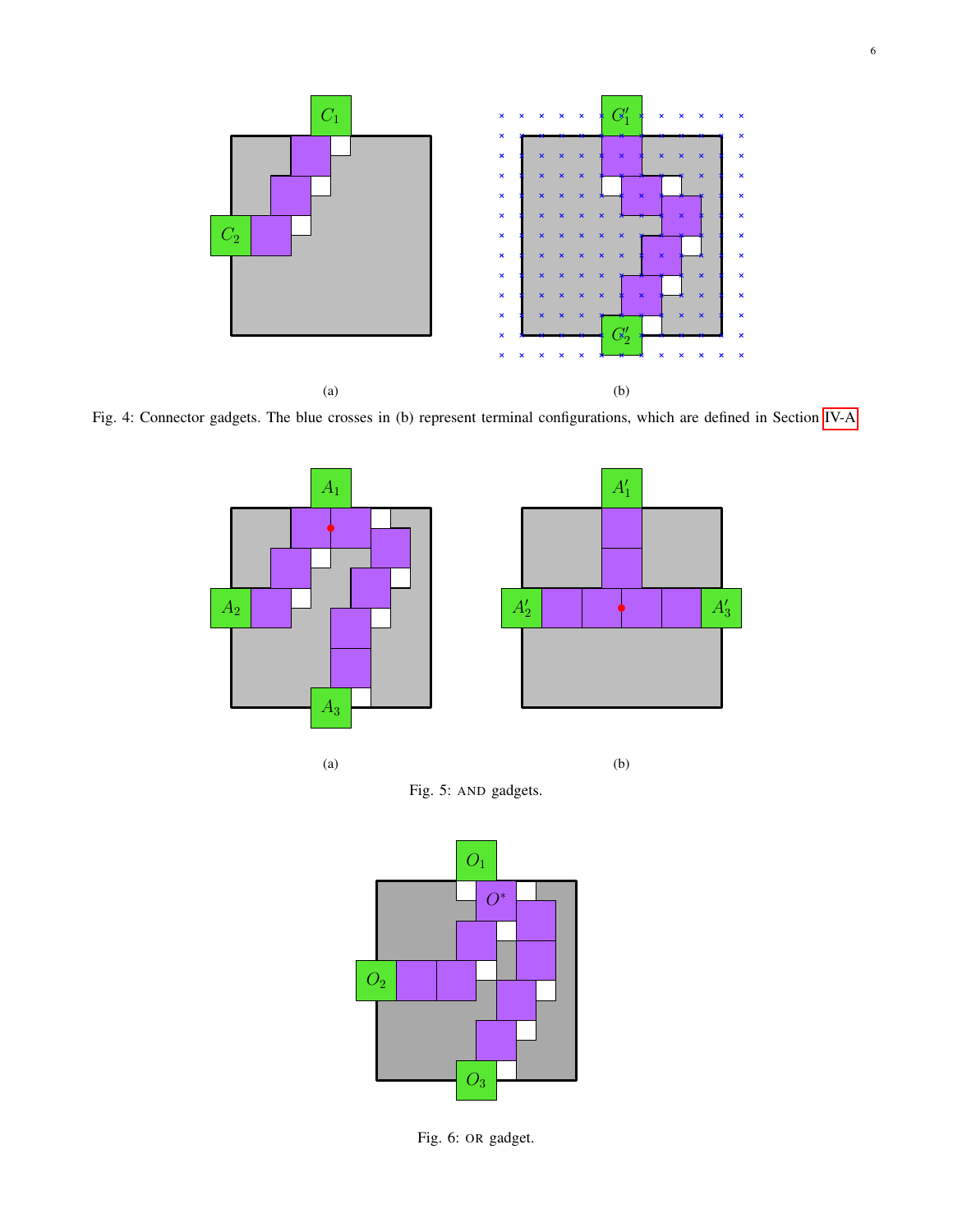<span id="page-5-0"></span>

<span id="page-5-1"></span>Fig. 4: Connector gadgets. The blue crosses in (b) represent terminal configurations, which are defined in Section [IV-A.](#page-3-2)





<span id="page-5-2"></span>

Fig. 6: OR gadget.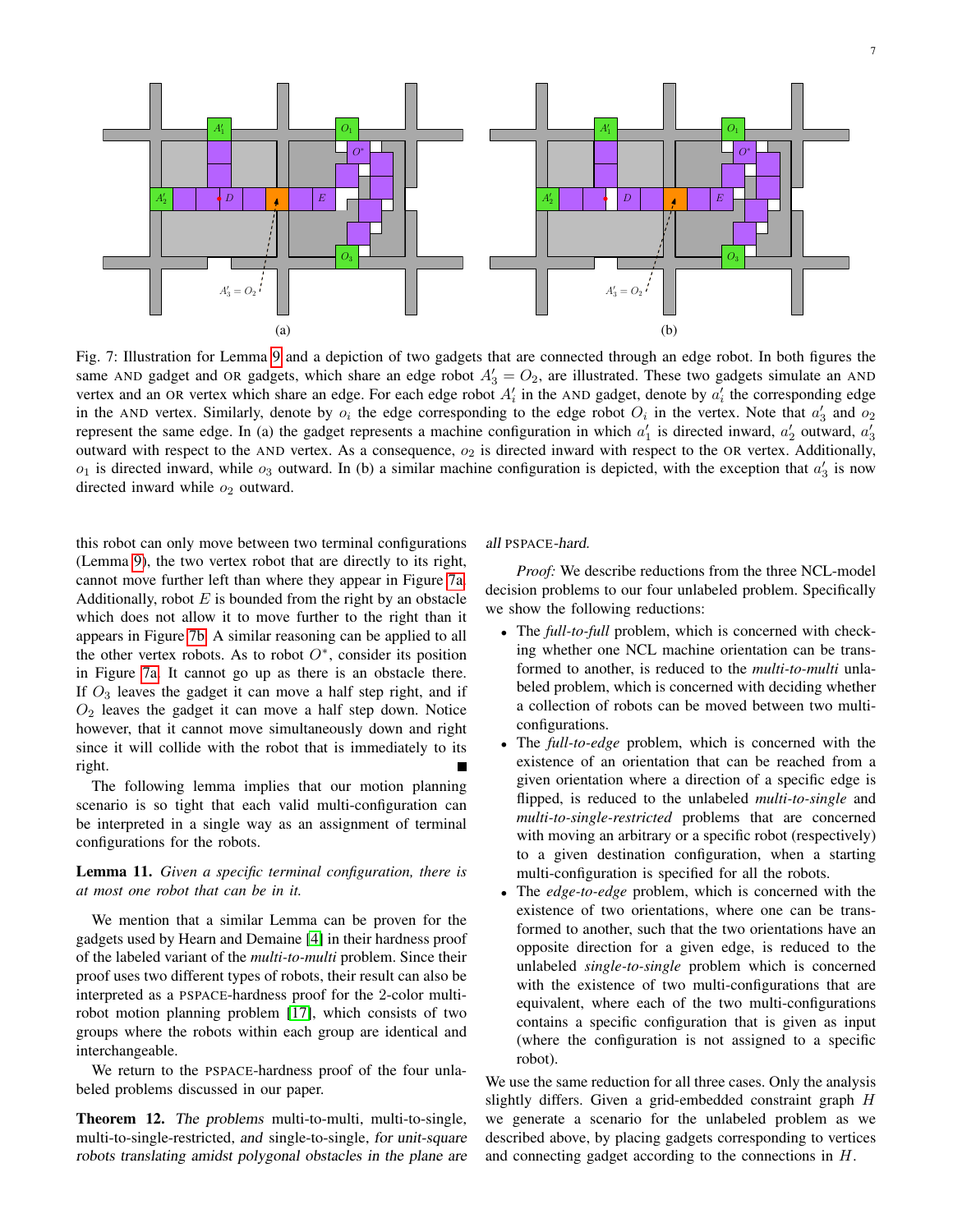<span id="page-6-0"></span>

Fig. 7: Illustration for Lemma [9](#page-4-0) and a depiction of two gadgets that are connected through an edge robot. In both figures the same AND gadget and OR gadgets, which share an edge robot  $A'_3 = O_2$ , are illustrated. These two gadgets simulate an AND vertex and an OR vertex which share an edge. For each edge robot  $A'_i$  in the AND gadget, denote by  $a'_i$  the corresponding edge in the AND vertex. Similarly, denote by  $o_i$  the edge corresponding to the edge robot  $O_i$  in the vertex. Note that  $a'_3$  and  $o_2$ represent the same edge. In (a) the gadget represents a machine configuration in which  $a'_1$  is directed inward,  $a'_2$  outward,  $a'_3$ outward with respect to the AND vertex. As a consequence,  $o_2$  is directed inward with respect to the OR vertex. Additionally,  $o_1$  is directed inward, while  $o_3$  outward. In (b) a similar machine configuration is depicted, with the exception that  $a'_3$  is now directed inward while  $o_2$  outward.

this robot can only move between two terminal configurations (Lemma [9\)](#page-4-0), the two vertex robot that are directly to its right, cannot move further left than where they appear in Figure [7a.](#page-6-0) Additionally, robot  $E$  is bounded from the right by an obstacle which does not allow it to move further to the right than it appears in Figure [7b.](#page-6-0) A similar reasoning can be applied to all the other vertex robots. As to robot  $O^*$ , consider its position in Figure [7a.](#page-6-0) It cannot go up as there is an obstacle there. If  $O_3$  leaves the gadget it can move a half step right, and if  $O<sub>2</sub>$  leaves the gadget it can move a half step down. Notice however, that it cannot move simultaneously down and right since it will collide with the robot that is immediately to its right.

The following lemma implies that our motion planning scenario is so tight that each valid multi-configuration can be interpreted in a single way as an assignment of terminal configurations for the robots.

# <span id="page-6-1"></span>Lemma 11. *Given a specific terminal configuration, there is at most one robot that can be in it.*

We mention that a similar Lemma can be proven for the gadgets used by Hearn and Demaine [\[4\]](#page-7-1) in their hardness proof of the labeled variant of the *multi-to-multi* problem. Since their proof uses two different types of robots, their result can also be interpreted as a PSPACE-hardness proof for the 2-color multirobot motion planning problem [\[17\]](#page-8-9), which consists of two groups where the robots within each group are identical and interchangeable.

We return to the PSPACE-hardness proof of the four unlabeled problems discussed in our paper.

<span id="page-6-2"></span>Theorem 12. The problems multi-to-multi, multi-to-single, multi-to-single-restricted, and single-to-single, for unit-square robots translating amidst polygonal obstacles in the plane are

## all PSPACE-hard.

*Proof:* We describe reductions from the three NCL-model decision problems to our four unlabeled problem. Specifically we show the following reductions:

- The *full-to-full* problem, which is concerned with checking whether one NCL machine orientation can be transformed to another, is reduced to the *multi-to-multi* unlabeled problem, which is concerned with deciding whether a collection of robots can be moved between two multiconfigurations.
- The *full-to-edge* problem, which is concerned with the existence of an orientation that can be reached from a given orientation where a direction of a specific edge is flipped, is reduced to the unlabeled *multi-to-single* and *multi-to-single-restricted* problems that are concerned with moving an arbitrary or a specific robot (respectively) to a given destination configuration, when a starting multi-configuration is specified for all the robots.
- The *edge-to-edge* problem, which is concerned with the existence of two orientations, where one can be transformed to another, such that the two orientations have an opposite direction for a given edge, is reduced to the unlabeled *single-to-single* problem which is concerned with the existence of two multi-configurations that are equivalent, where each of the two multi-configurations contains a specific configuration that is given as input (where the configuration is not assigned to a specific robot).

We use the same reduction for all three cases. Only the analysis slightly differs. Given a grid-embedded constraint graph H we generate a scenario for the unlabeled problem as we described above, by placing gadgets corresponding to vertices and connecting gadget according to the connections in H.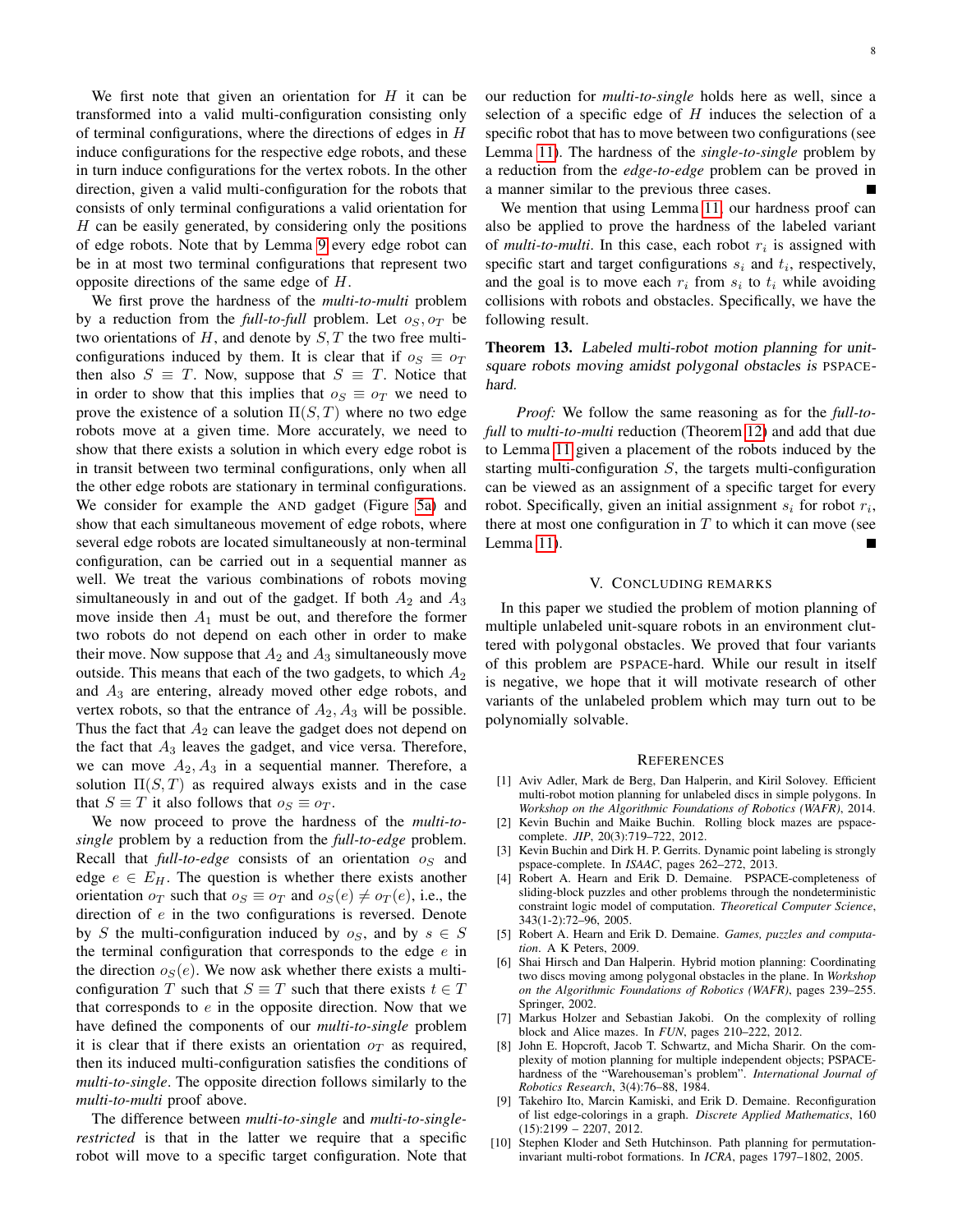We first note that given an orientation for  $H$  it can be transformed into a valid multi-configuration consisting only of terminal configurations, where the directions of edges in H induce configurations for the respective edge robots, and these in turn induce configurations for the vertex robots. In the other direction, given a valid multi-configuration for the robots that consists of only terminal configurations a valid orientation for  $H$  can be easily generated, by considering only the positions of edge robots. Note that by Lemma [9](#page-4-0) every edge robot can be in at most two terminal configurations that represent two opposite directions of the same edge of H.

We first prove the hardness of the *multi-to-multi* problem by a reduction from the *full-to-full* problem. Let  $o_S$ ,  $o_T$  be two orientations of  $H$ , and denote by  $S$ ,  $T$  the two free multiconfigurations induced by them. It is clear that if  $o_S \equiv o_T$ then also  $S \equiv T$ . Now, suppose that  $S \equiv T$ . Notice that in order to show that this implies that  $o_S \equiv o_T$  we need to prove the existence of a solution  $\Pi(S,T)$  where no two edge robots move at a given time. More accurately, we need to show that there exists a solution in which every edge robot is in transit between two terminal configurations, only when all the other edge robots are stationary in terminal configurations. We consider for example the AND gadget (Figure [5a\)](#page-5-1) and show that each simultaneous movement of edge robots, where several edge robots are located simultaneously at non-terminal configuration, can be carried out in a sequential manner as well. We treat the various combinations of robots moving simultaneously in and out of the gadget. If both  $A_2$  and  $A_3$ move inside then  $A_1$  must be out, and therefore the former two robots do not depend on each other in order to make their move. Now suppose that  $A_2$  and  $A_3$  simultaneously move outside. This means that each of the two gadgets, to which  $A_2$ and  $A_3$  are entering, already moved other edge robots, and vertex robots, so that the entrance of  $A_2$ ,  $A_3$  will be possible. Thus the fact that  $A_2$  can leave the gadget does not depend on the fact that  $A_3$  leaves the gadget, and vice versa. Therefore, we can move  $A_2, A_3$  in a sequential manner. Therefore, a solution  $\Pi(S, T)$  as required always exists and in the case that  $S \equiv T$  it also follows that  $o_S \equiv o_T$ .

We now proceed to prove the hardness of the *multi-tosingle* problem by a reduction from the *full-to-edge* problem. Recall that  $full-to-edge$  consists of an orientation  $\sigma_S$  and edge  $e \in E_H$ . The question is whether there exists another orientation  $o_T$  such that  $o_S \equiv o_T$  and  $o_S(e) \neq o_T(e)$ , i.e., the direction of e in the two configurations is reversed. Denote by S the multi-configuration induced by  $o_S$ , and by  $s \in S$ the terminal configuration that corresponds to the edge  $e$  in the direction  $o<sub>S</sub>(e)$ . We now ask whether there exists a multiconfiguration T such that  $S \equiv T$  such that there exists  $t \in T$ that corresponds to  $e$  in the opposite direction. Now that we have defined the components of our *multi-to-single* problem it is clear that if there exists an orientation  $\rho_T$  as required, then its induced multi-configuration satisfies the conditions of *multi-to-single*. The opposite direction follows similarly to the *multi-to-multi* proof above.

The difference between *multi-to-single* and *multi-to-singlerestricted* is that in the latter we require that a specific robot will move to a specific target configuration. Note that 8

our reduction for *multi-to-single* holds here as well, since a selection of a specific edge of  $H$  induces the selection of a specific robot that has to move between two configurations (see Lemma [11\)](#page-6-1). The hardness of the *single-to-single* problem by a reduction from the *edge-to-edge* problem can be proved in a manner similar to the previous three cases.

We mention that using Lemma [11,](#page-6-1) our hardness proof can also be applied to prove the hardness of the labeled variant of *multi-to-multi*. In this case, each robot  $r_i$  is assigned with specific start and target configurations  $s_i$  and  $t_i$ , respectively, and the goal is to move each  $r_i$  from  $s_i$  to  $t_i$  while avoiding collisions with robots and obstacles. Specifically, we have the following result.

Theorem 13. Labeled multi-robot motion planning for unitsquare robots moving amidst polygonal obstacles is PSPACEhard.

*Proof:* We follow the same reasoning as for the *full-tofull* to *multi-to-multi* reduction (Theorem [12\)](#page-6-2) and add that due to Lemma [11](#page-6-1) given a placement of the robots induced by the starting multi-configuration  $S$ , the targets multi-configuration can be viewed as an assignment of a specific target for every robot. Specifically, given an initial assignment  $s_i$  for robot  $r_i$ , there at most one configuration in  $T$  to which it can move (see Lemma [11\)](#page-6-1).

## V. CONCLUDING REMARKS

In this paper we studied the problem of motion planning of multiple unlabeled unit-square robots in an environment cluttered with polygonal obstacles. We proved that four variants of this problem are PSPACE-hard. While our result in itself is negative, we hope that it will motivate research of other variants of the unlabeled problem which may turn out to be polynomially solvable.

#### **REFERENCES**

- <span id="page-7-9"></span>[1] Aviv Adler, Mark de Berg, Dan Halperin, and Kiril Solovey. Efficient multi-robot motion planning for unlabeled discs in simple polygons. In *Workshop on the Algorithmic Foundations of Robotics (WAFR)*, 2014.
- <span id="page-7-3"></span>[2] Kevin Buchin and Maike Buchin. Rolling block mazes are pspacecomplete. *JIP*, 20(3):719–722, 2012.
- <span id="page-7-4"></span>[3] Kevin Buchin and Dirk H. P. Gerrits. Dynamic point labeling is strongly pspace-complete. In *ISAAC*, pages 262–272, 2013.
- <span id="page-7-1"></span>Robert A. Hearn and Erik D. Demaine. PSPACE-completeness of sliding-block puzzles and other problems through the nondeterministic constraint logic model of computation. *Theoretical Computer Science*, 343(1-2):72–96, 2005.
- <span id="page-7-2"></span>[5] Robert A. Hearn and Erik D. Demaine. *Games, puzzles and computation*. A K Peters, 2009.
- <span id="page-7-7"></span>[6] Shai Hirsch and Dan Halperin. Hybrid motion planning: Coordinating two discs moving among polygonal obstacles in the plane. In *Workshop on the Algorithmic Foundations of Robotics (WAFR)*, pages 239–255. Springer, 2002.
- <span id="page-7-5"></span>[7] Markus Holzer and Sebastian Jakobi. On the complexity of rolling block and Alice mazes. In *FUN*, pages 210–222, 2012.
- <span id="page-7-0"></span>[8] John E. Hopcroft, Jacob T. Schwartz, and Micha Sharir. On the complexity of motion planning for multiple independent objects; PSPACEhardness of the "Warehouseman's problem". *International Journal of Robotics Research*, 3(4):76–88, 1984.
- <span id="page-7-6"></span>[9] Takehiro Ito, Marcin Kamiski, and Erik D. Demaine. Reconfiguration of list edge-colorings in a graph. *Discrete Applied Mathematics*, 160  $(15):2199 - 2207, 2012.$
- <span id="page-7-8"></span>[10] Stephen Kloder and Seth Hutchinson. Path planning for permutationinvariant multi-robot formations. In *ICRA*, pages 1797–1802, 2005.